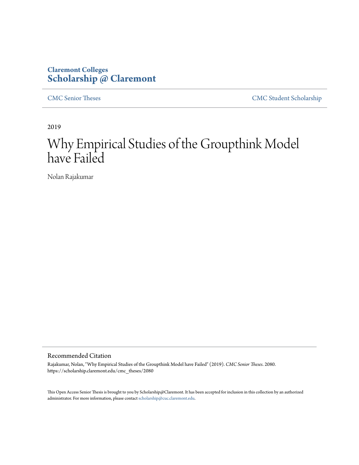# **Claremont Colleges [Scholarship @ Claremont](https://scholarship.claremont.edu)**

[CMC Senior Theses](https://scholarship.claremont.edu/cmc_theses) [CMC Student Scholarship](https://scholarship.claremont.edu/cmc_student)

2019

# Why Empirical Studies of the Groupthink Model have Failed

Nolan Rajakumar

Recommended Citation

Rajakumar, Nolan, "Why Empirical Studies of the Groupthink Model have Failed" (2019). *CMC Senior Theses*. 2080. https://scholarship.claremont.edu/cmc\_theses/2080

This Open Access Senior Thesis is brought to you by Scholarship@Claremont. It has been accepted for inclusion in this collection by an authorized administrator. For more information, please contact [scholarship@cuc.claremont.edu.](mailto:scholarship@cuc.claremont.edu)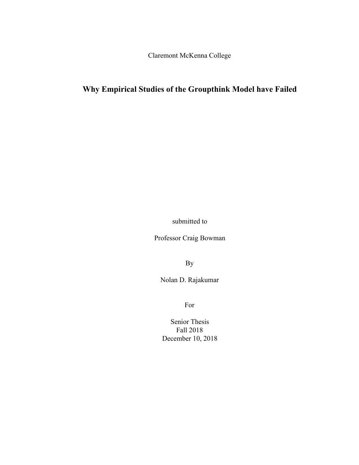Claremont McKenna College

# **Why Empirical Studies of the Groupthink Model have Failed**

submitted to

Professor Craig Bowman

By

Nolan D. Rajakumar

For

Senior Thesis Fall 2018 December 10, 2018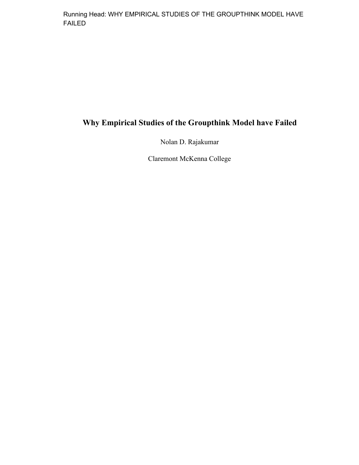Running Head: WHY EMPIRICAL STUDIES OF THE GROUPTHINK MODEL HAVE FAILED

# **Why Empirical Studies of the Groupthink Model have Failed**

Nolan D. Rajakumar

Claremont McKenna College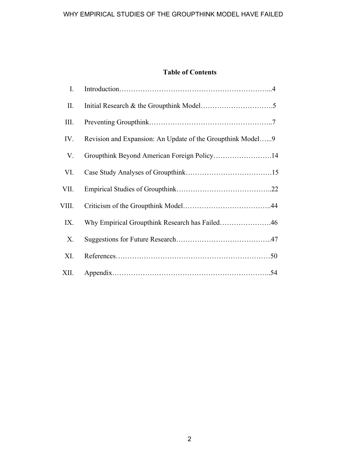# **Table of Contents**

| I.    |                                                            |  |
|-------|------------------------------------------------------------|--|
| П.    |                                                            |  |
| III.  |                                                            |  |
| IV.   | Revision and Expansion: An Update of the Groupthink Model9 |  |
| V.    | Groupthink Beyond American Foreign Policy14                |  |
| VI.   |                                                            |  |
| VII.  |                                                            |  |
| VIII. |                                                            |  |
| IX.   | Why Empirical Groupthink Research has Failed46             |  |
| X.    |                                                            |  |
| XI.   |                                                            |  |
| XII.  |                                                            |  |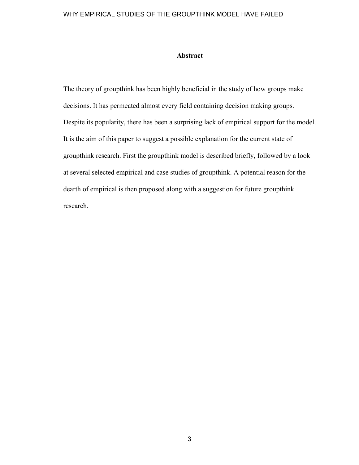# **Abstract**

The theory of groupthink has been highly beneficial in the study of how groups make decisions. It has permeated almost every field containing decision making groups. Despite its popularity, there has been a surprising lack of empirical support for the model. It is the aim of this paper to suggest a possible explanation for the current state of groupthink research. First the groupthink model is described briefly, followed by a look at several selected empirical and case studies of groupthink. A potential reason for the dearth of empirical is then proposed along with a suggestion for future groupthink research.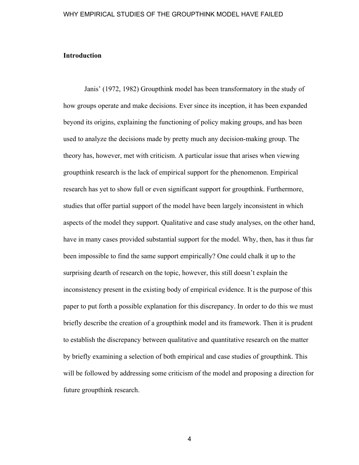# **Introduction**

Janis' (1972, 1982) Groupthink model has been transformatory in the study of how groups operate and make decisions. Ever since its inception, it has been expanded beyond its origins, explaining the functioning of policy making groups, and has been used to analyze the decisions made by pretty much any decision-making group. The theory has, however, met with criticism. A particular issue that arises when viewing groupthink research is the lack of empirical support for the phenomenon. Empirical research has yet to show full or even significant support for groupthink. Furthermore, studies that offer partial support of the model have been largely inconsistent in which aspects of the model they support. Qualitative and case study analyses, on the other hand, have in many cases provided substantial support for the model. Why, then, has it thus far been impossible to find the same support empirically? One could chalk it up to the surprising dearth of research on the topic, however, this still doesn't explain the inconsistency present in the existing body of empirical evidence. It is the purpose of this paper to put forth a possible explanation for this discrepancy. In order to do this we must briefly describe the creation of a groupthink model and its framework. Then it is prudent to establish the discrepancy between qualitative and quantitative research on the matter by briefly examining a selection of both empirical and case studies of groupthink. This will be followed by addressing some criticism of the model and proposing a direction for future groupthink research.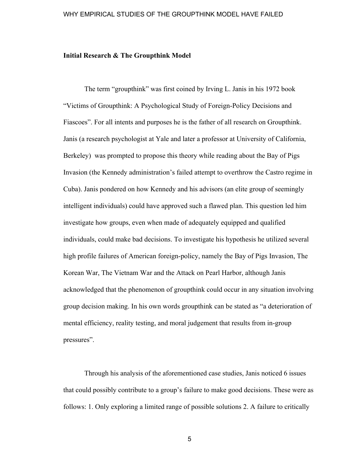# **Initial Research & The Groupthink Model**

The term "groupthink" was first coined by Irving L. Janis in his 1972 book "Victims of Groupthink: A Psychological Study of Foreign-Policy Decisions and Fiascoes". For all intents and purposes he is the father of all research on Groupthink. Janis (a research psychologist at Yale and later a professor at University of California, Berkeley) was prompted to propose this theory while reading about the Bay of Pigs Invasion (the Kennedy administration's failed attempt to overthrow the Castro regime in Cuba). Janis pondered on how Kennedy and his advisors (an elite group of seemingly intelligent individuals) could have approved such a flawed plan. This question led him investigate how groups, even when made of adequately equipped and qualified individuals, could make bad decisions. To investigate his hypothesis he utilized several high profile failures of American foreign-policy, namely the Bay of Pigs Invasion, The Korean War, The Vietnam War and the Attack on Pearl Harbor, although Janis acknowledged that the phenomenon of groupthink could occur in any situation involving group decision making. In his own words groupthink can be stated as "a deterioration of mental efficiency, reality testing, and moral judgement that results from in-group pressures".

Through his analysis of the aforementioned case studies, Janis noticed 6 issues that could possibly contribute to a group's failure to make good decisions. These were as follows: 1. Only exploring a limited range of possible solutions 2. A failure to critically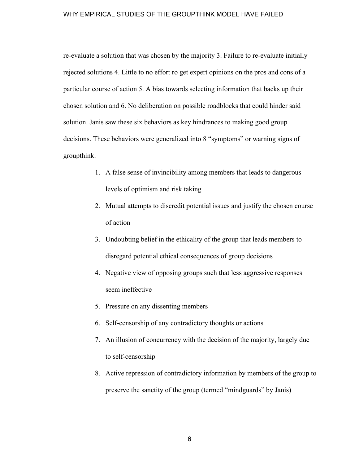re-evaluate a solution that was chosen by the majority 3. Failure to re-evaluate initially rejected solutions 4. Little to no effort ro get expert opinions on the pros and cons of a particular course of action 5. A bias towards selecting information that backs up their chosen solution and 6. No deliberation on possible roadblocks that could hinder said solution. Janis saw these six behaviors as key hindrances to making good group decisions. These behaviors were generalized into 8 "symptoms" or warning signs of groupthink.

- 1. A false sense of invincibility among members that leads to dangerous levels of optimism and risk taking
- 2. Mutual attempts to discredit potential issues and justify the chosen course of action
- 3. Undoubting belief in the ethicality of the group that leads members to disregard potential ethical consequences of group decisions
- 4. Negative view of opposing groups such that less aggressive responses seem ineffective
- 5. Pressure on any dissenting members
- 6. Self-censorship of any contradictory thoughts or actions
- 7. An illusion of concurrency with the decision of the majority, largely due to self-censorship
- 8. Active repression of contradictory information by members of the group to preserve the sanctity of the group (termed "mindguards" by Janis)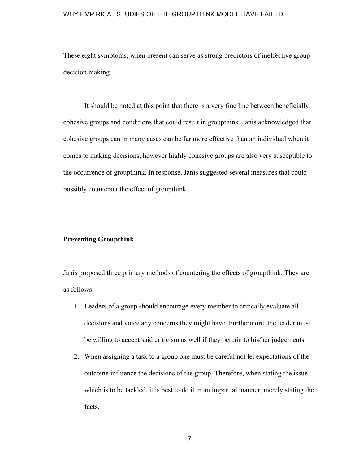These eight symptoms, when present can serve as strong predictors of ineffective group decision making.

It should be noted at this point that there is a very fine line between beneficially cohesive groups and conditions that could result in groupthink. Janis acknowledged that cohesive groups can in many cases can be far more effective than an individual when it comes to making decisions, however highly cohesive groups are also very susceptible to the occurrence of groupthink. In response, Janis suggested several measures that could possibly counteract the effect of groupthink

# **Preventing Groupthink**

Janis proposed three primary methods of countering the effects of groupthink. They are as follows:

- 1. Leaders of a group should encourage every member to critically evaluate all decisions and voice any concerns they might have. Furthermore, the leader must be willing to accept said criticism as well if they pertain to his/her judgements.
- 2. When assigning a task to a group one must be careful not let expectations of the outcome influence the decisions of the group. Therefore, when stating the issue which is to be tackled, it is best to do it in an impartial manner, merely stating the facts.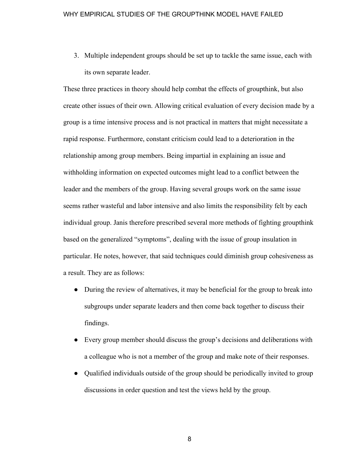3. Multiple independent groups should be set up to tackle the same issue, each with its own separate leader.

These three practices in theory should help combat the effects of groupthink, but also create other issues of their own. Allowing critical evaluation of every decision made by a group is a time intensive process and is not practical in matters that might necessitate a rapid response. Furthermore, constant criticism could lead to a deterioration in the relationship among group members. Being impartial in explaining an issue and withholding information on expected outcomes might lead to a conflict between the leader and the members of the group. Having several groups work on the same issue seems rather wasteful and labor intensive and also limits the responsibility felt by each individual group. Janis therefore prescribed several more methods of fighting groupthink based on the generalized "symptoms", dealing with the issue of group insulation in particular. He notes, however, that said techniques could diminish group cohesiveness as a result. They are as follows:

- During the review of alternatives, it may be beneficial for the group to break into subgroups under separate leaders and then come back together to discuss their findings.
- Every group member should discuss the group's decisions and deliberations with a colleague who is not a member of the group and make note of their responses.
- Qualified individuals outside of the group should be periodically invited to group discussions in order question and test the views held by the group.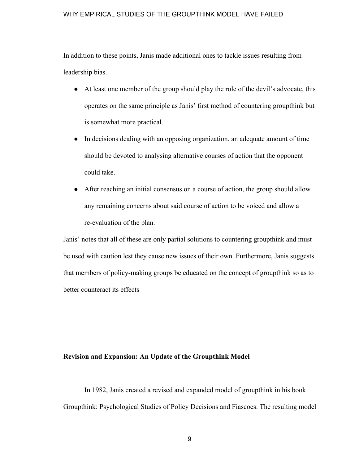In addition to these points, Janis made additional ones to tackle issues resulting from leadership bias.

- At least one member of the group should play the role of the devil's advocate, this operates on the same principle as Janis' first method of countering groupthink but is somewhat more practical.
- In decisions dealing with an opposing organization, an adequate amount of time should be devoted to analysing alternative courses of action that the opponent could take.
- After reaching an initial consensus on a course of action, the group should allow any remaining concerns about said course of action to be voiced and allow a re-evaluation of the plan.

Janis' notes that all of these are only partial solutions to countering groupthink and must be used with caution lest they cause new issues of their own. Furthermore, Janis suggests that members of policy-making groups be educated on the concept of groupthink so as to better counteract its effects

#### **Revision and Expansion: An Update of the Groupthink Model**

In 1982, Janis created a revised and expanded model of groupthink in his book Groupthink: Psychological Studies of Policy Decisions and Fiascoes. The resulting model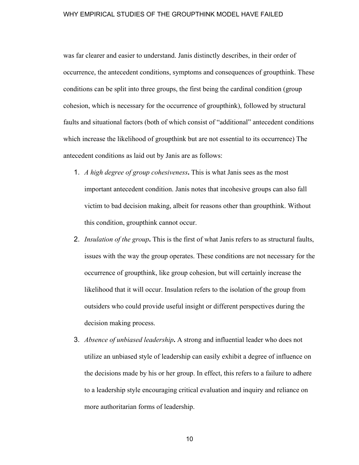was far clearer and easier to understand. Janis distinctly describes, in their order of occurrence, the antecedent conditions, symptoms and consequences of groupthink. These conditions can be split into three groups, the first being the cardinal condition (group cohesion, which is necessary for the occurrence of groupthink), followed by structural faults and situational factors (both of which consist of "additional" antecedent conditions which increase the likelihood of groupthink but are not essential to its occurrence) The antecedent conditions as laid out by Janis are as follows:

- 1. *A high degree of group cohesiveness***.** This is what Janis sees as the most important antecedent condition. Janis notes that incohesive groups can also fall victim to bad decision making, albeit for reasons other than groupthink. Without this condition, groupthink cannot occur.
- 2. *Insulation of the group***.** This is the first of what Janis refers to as structural faults, issues with the way the group operates. These conditions are not necessary for the occurrence of groupthink, like group cohesion, but will certainly increase the likelihood that it will occur. Insulation refers to the isolation of the group from outsiders who could provide useful insight or different perspectives during the decision making process.
- 3. *Absence of unbiased leadership***.** A strong and influential leader who does not utilize an unbiased style of leadership can easily exhibit a degree of influence on the decisions made by his or her group. In effect, this refers to a failure to adhere to a leadership style encouraging critical evaluation and inquiry and reliance on more authoritarian forms of leadership.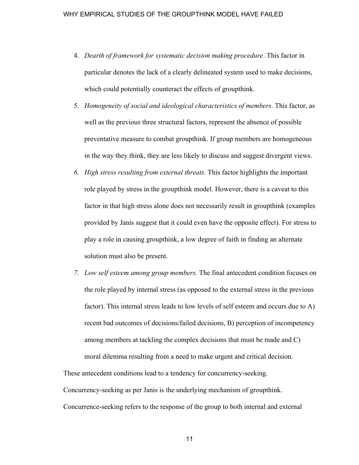- 4. *Dearth of framework for systematic decision making procedure*. This factor in particular denotes the lack of a clearly delineated system used to make decisions, which could potentially counteract the effects of groupthink.
- 5. *Homogeneity of social and ideological characteristics of members*. This factor, as well as the previous three structural factors, represent the absence of possible preventative measure to combat groupthink. If group members are homogeneous in the way they think, they are less likely to discuss and suggest divergent views.
- *6. High stress resulting from external threats.* This factor highlights the important role played by stress in the groupthink model. However, there is a caveat to this factor in that high stress alone does not necessarily result in groupthink (examples provided by Janis suggest that it could even have the opposite effect). For stress to play a role in causing groupthink, a low degree of faith in finding an alternate solution must also be present.
- *7. Low self esteem among group members.* The final antecedent condition focuses on the role played by internal stress (as opposed to the external stress in the previous factor). This internal stress leads to low levels of self esteem and occurs due to A) recent bad outcomes of decisions/failed decisions, B) perception of incompetency among members at tackling the complex decisions that must be made and C) moral dilemma resulting from a need to make urgent and critical decision.

These antecedent conditions lead to a tendency for concurrency-seeking. Concurrency-seeking as per Janis is the underlying mechanism of groupthink. Concurrence-seeking refers to the response of the group to both internal and external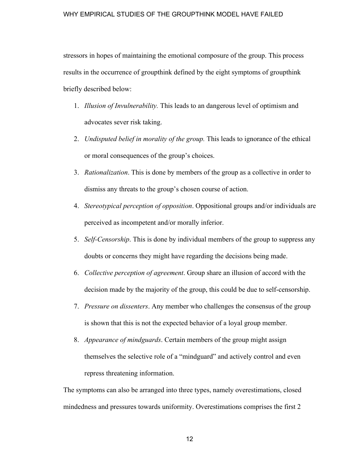stressors in hopes of maintaining the emotional composure of the group. This process results in the occurrence of groupthink defined by the eight symptoms of groupthink briefly described below:

- 1. *Illusion of Invulnerability.* This leads to an dangerous level of optimism and advocates sever risk taking.
- 2. *Undisputed belief in morality of the group.* This leads to ignorance of the ethical or moral consequences of the group's choices.
- 3. *Rationalization*. This is done by members of the group as a collective in order to dismiss any threats to the group's chosen course of action.
- 4. *Stereotypical perception of opposition*. Oppositional groups and/or individuals are perceived as incompetent and/or morally inferior.
- 5. *Self-Censorship*. This is done by individual members of the group to suppress any doubts or concerns they might have regarding the decisions being made.
- 6. *Collective perception of agreement*. Group share an illusion of accord with the decision made by the majority of the group, this could be due to self-censorship.
- 7. *Pressure on dissenters*. Any member who challenges the consensus of the group is shown that this is not the expected behavior of a loyal group member.
- 8. *Appearance of mindguards*. Certain members of the group might assign themselves the selective role of a "mindguard" and actively control and even repress threatening information.

The symptoms can also be arranged into three types, namely overestimations, closed mindedness and pressures towards uniformity. Overestimations comprises the first 2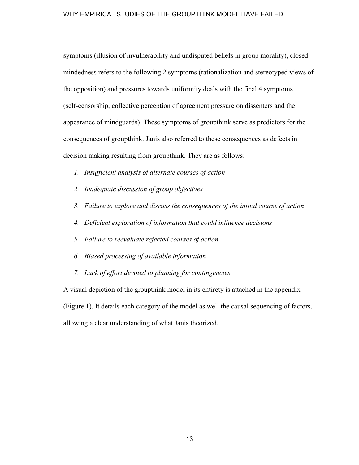symptoms (illusion of invulnerability and undisputed beliefs in group morality), closed mindedness refers to the following 2 symptoms (rationalization and stereotyped views of the opposition) and pressures towards uniformity deals with the final 4 symptoms (self-censorship, collective perception of agreement pressure on dissenters and the appearance of mindguards). These symptoms of groupthink serve as predictors for the consequences of groupthink. Janis also referred to these consequences as defects in decision making resulting from groupthink. They are as follows:

- *1. Insufficient analysis of alternate courses of action*
- *2. Inadequate discussion of group objectives*
- *3. Failure to explore and discuss the consequences of the initial course of action*
- *4. Deficient exploration of information that could influence decisions*
- *5. Failure to reevaluate rejected courses of action*
- *6. Biased processing of available information*
- *7. Lack of effort devoted to planning for contingencies*

A visual depiction of the groupthink model in its entirety is attached in the appendix (Figure 1). It details each category of the model as well the causal sequencing of factors, allowing a clear understanding of what Janis theorized.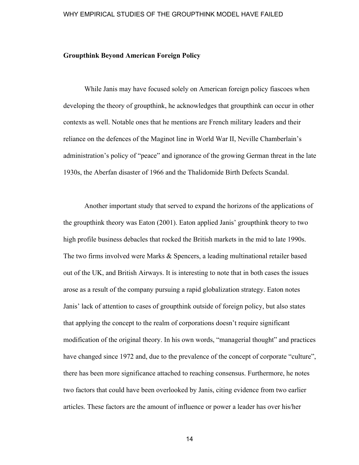# **Groupthink Beyond American Foreign Policy**

While Janis may have focused solely on American foreign policy fiascoes when developing the theory of groupthink, he acknowledges that groupthink can occur in other contexts as well. Notable ones that he mentions are French military leaders and their reliance on the defences of the Maginot line in World War II, Neville Chamberlain's administration's policy of "peace" and ignorance of the growing German threat in the late 1930s, the Aberfan disaster of 1966 and the Thalidomide Birth Defects Scandal.

Another important study that served to expand the horizons of the applications of the groupthink theory was Eaton (2001). Eaton applied Janis' groupthink theory to two high profile business debacles that rocked the British markets in the mid to late 1990s. The two firms involved were Marks & Spencers, a leading multinational retailer based out of the UK, and British Airways. It is interesting to note that in both cases the issues arose as a result of the company pursuing a rapid globalization strategy. Eaton notes Janis' lack of attention to cases of groupthink outside of foreign policy, but also states that applying the concept to the realm of corporations doesn't require significant modification of the original theory. In his own words, "managerial thought" and practices have changed since 1972 and, due to the prevalence of the concept of corporate "culture", there has been more significance attached to reaching consensus. Furthermore, he notes two factors that could have been overlooked by Janis, citing evidence from two earlier articles. These factors are the amount of influence or power a leader has over his/her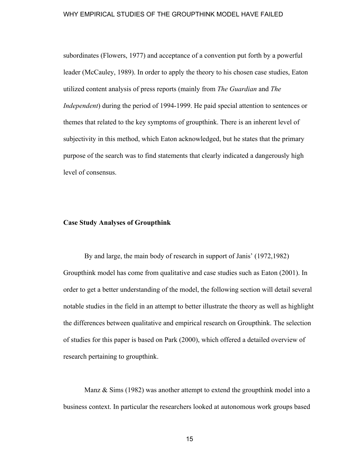subordinates (Flowers, 1977) and acceptance of a convention put forth by a powerful leader (McCauley, 1989). In order to apply the theory to his chosen case studies, Eaton utilized content analysis of press reports (mainly from *The Guardian* and *The Independent*) during the period of 1994-1999. He paid special attention to sentences or themes that related to the key symptoms of groupthink. There is an inherent level of subjectivity in this method, which Eaton acknowledged, but he states that the primary purpose of the search was to find statements that clearly indicated a dangerously high level of consensus.

# **Case Study Analyses of Groupthink**

By and large, the main body of research in support of Janis' (1972,1982) Groupthink model has come from qualitative and case studies such as Eaton (2001). In order to get a better understanding of the model, the following section will detail several notable studies in the field in an attempt to better illustrate the theory as well as highlight the differences between qualitative and empirical research on Groupthink. The selection of studies for this paper is based on Park (2000), which offered a detailed overview of research pertaining to groupthink.

Manz & Sims (1982) was another attempt to extend the groupthink model into a business context. In particular the researchers looked at autonomous work groups based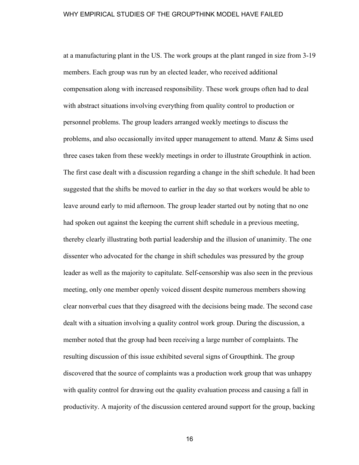at a manufacturing plant in the US. The work groups at the plant ranged in size from 3-19 members. Each group was run by an elected leader, who received additional compensation along with increased responsibility. These work groups often had to deal with abstract situations involving everything from quality control to production or personnel problems. The group leaders arranged weekly meetings to discuss the problems, and also occasionally invited upper management to attend. Manz & Sims used three cases taken from these weekly meetings in order to illustrate Groupthink in action. The first case dealt with a discussion regarding a change in the shift schedule. It had been suggested that the shifts be moved to earlier in the day so that workers would be able to leave around early to mid afternoon. The group leader started out by noting that no one had spoken out against the keeping the current shift schedule in a previous meeting, thereby clearly illustrating both partial leadership and the illusion of unanimity. The one dissenter who advocated for the change in shift schedules was pressured by the group leader as well as the majority to capitulate. Self-censorship was also seen in the previous meeting, only one member openly voiced dissent despite numerous members showing clear nonverbal cues that they disagreed with the decisions being made. The second case dealt with a situation involving a quality control work group. During the discussion, a member noted that the group had been receiving a large number of complaints. The resulting discussion of this issue exhibited several signs of Groupthink. The group discovered that the source of complaints was a production work group that was unhappy with quality control for drawing out the quality evaluation process and causing a fall in productivity. A majority of the discussion centered around support for the group, backing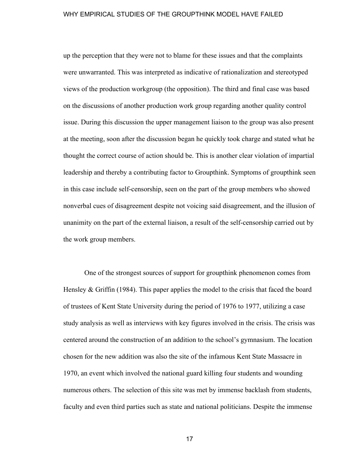up the perception that they were not to blame for these issues and that the complaints were unwarranted. This was interpreted as indicative of rationalization and stereotyped views of the production workgroup (the opposition). The third and final case was based on the discussions of another production work group regarding another quality control issue. During this discussion the upper management liaison to the group was also present at the meeting, soon after the discussion began he quickly took charge and stated what he thought the correct course of action should be. This is another clear violation of impartial leadership and thereby a contributing factor to Groupthink. Symptoms of groupthink seen in this case include self-censorship, seen on the part of the group members who showed nonverbal cues of disagreement despite not voicing said disagreement, and the illusion of unanimity on the part of the external liaison, a result of the self-censorship carried out by the work group members.

One of the strongest sources of support for groupthink phenomenon comes from Hensley & Griffin (1984). This paper applies the model to the crisis that faced the board of trustees of Kent State University during the period of 1976 to 1977, utilizing a case study analysis as well as interviews with key figures involved in the crisis. The crisis was centered around the construction of an addition to the school's gymnasium. The location chosen for the new addition was also the site of the infamous Kent State Massacre in 1970, an event which involved the national guard killing four students and wounding numerous others. The selection of this site was met by immense backlash from students, faculty and even third parties such as state and national politicians. Despite the immense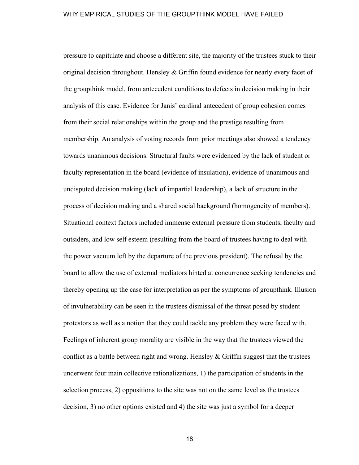pressure to capitulate and choose a different site, the majority of the trustees stuck to their original decision throughout. Hensley & Griffin found evidence for nearly every facet of the groupthink model, from antecedent conditions to defects in decision making in their analysis of this case. Evidence for Janis' cardinal antecedent of group cohesion comes from their social relationships within the group and the prestige resulting from membership. An analysis of voting records from prior meetings also showed a tendency towards unanimous decisions. Structural faults were evidenced by the lack of student or faculty representation in the board (evidence of insulation), evidence of unanimous and undisputed decision making (lack of impartial leadership), a lack of structure in the process of decision making and a shared social background (homogeneity of members). Situational context factors included immense external pressure from students, faculty and outsiders, and low self esteem (resulting from the board of trustees having to deal with the power vacuum left by the departure of the previous president). The refusal by the board to allow the use of external mediators hinted at concurrence seeking tendencies and thereby opening up the case for interpretation as per the symptoms of groupthink. Illusion of invulnerability can be seen in the trustees dismissal of the threat posed by student protestors as well as a notion that they could tackle any problem they were faced with. Feelings of inherent group morality are visible in the way that the trustees viewed the conflict as a battle between right and wrong. Hensley  $&$  Griffin suggest that the trustees underwent four main collective rationalizations, 1) the participation of students in the selection process, 2) oppositions to the site was not on the same level as the trustees decision, 3) no other options existed and 4) the site was just a symbol for a deeper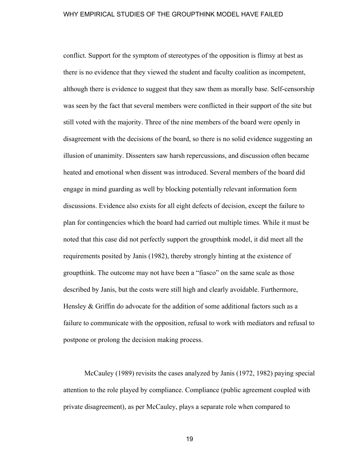conflict. Support for the symptom of stereotypes of the opposition is flimsy at best as there is no evidence that they viewed the student and faculty coalition as incompetent, although there is evidence to suggest that they saw them as morally base. Self-censorship was seen by the fact that several members were conflicted in their support of the site but still voted with the majority. Three of the nine members of the board were openly in disagreement with the decisions of the board, so there is no solid evidence suggesting an illusion of unanimity. Dissenters saw harsh repercussions, and discussion often became heated and emotional when dissent was introduced. Several members of the board did engage in mind guarding as well by blocking potentially relevant information form discussions. Evidence also exists for all eight defects of decision, except the failure to plan for contingencies which the board had carried out multiple times. While it must be noted that this case did not perfectly support the groupthink model, it did meet all the requirements posited by Janis (1982), thereby strongly hinting at the existence of groupthink. The outcome may not have been a "fiasco" on the same scale as those described by Janis, but the costs were still high and clearly avoidable. Furthermore, Hensley & Griffin do advocate for the addition of some additional factors such as a failure to communicate with the opposition, refusal to work with mediators and refusal to postpone or prolong the decision making process.

McCauley (1989) revisits the cases analyzed by Janis (1972, 1982) paying special attention to the role played by compliance. Compliance (public agreement coupled with private disagreement), as per McCauley, plays a separate role when compared to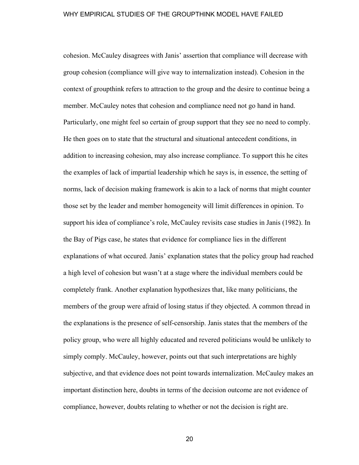cohesion. McCauley disagrees with Janis' assertion that compliance will decrease with group cohesion (compliance will give way to internalization instead). Cohesion in the context of groupthink refers to attraction to the group and the desire to continue being a member. McCauley notes that cohesion and compliance need not go hand in hand. Particularly, one might feel so certain of group support that they see no need to comply. He then goes on to state that the structural and situational antecedent conditions, in addition to increasing cohesion, may also increase compliance. To support this he cites the examples of lack of impartial leadership which he says is, in essence, the setting of norms, lack of decision making framework is akin to a lack of norms that might counter those set by the leader and member homogeneity will limit differences in opinion. To support his idea of compliance's role, McCauley revisits case studies in Janis (1982). In the Bay of Pigs case, he states that evidence for compliance lies in the different explanations of what occured. Janis' explanation states that the policy group had reached a high level of cohesion but wasn't at a stage where the individual members could be completely frank. Another explanation hypothesizes that, like many politicians, the members of the group were afraid of losing status if they objected. A common thread in the explanations is the presence of self-censorship. Janis states that the members of the policy group, who were all highly educated and revered politicians would be unlikely to simply comply. McCauley, however, points out that such interpretations are highly subjective, and that evidence does not point towards internalization. McCauley makes an important distinction here, doubts in terms of the decision outcome are not evidence of compliance, however, doubts relating to whether or not the decision is right are.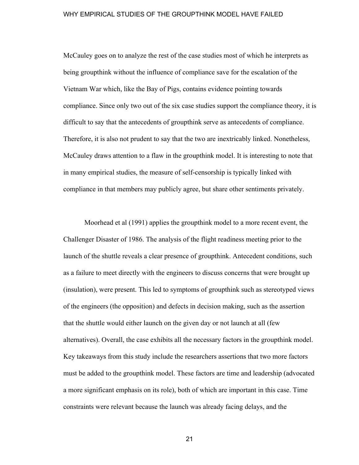McCauley goes on to analyze the rest of the case studies most of which he interprets as being groupthink without the influence of compliance save for the escalation of the Vietnam War which, like the Bay of Pigs, contains evidence pointing towards compliance. Since only two out of the six case studies support the compliance theory, it is difficult to say that the antecedents of groupthink serve as antecedents of compliance. Therefore, it is also not prudent to say that the two are inextricably linked. Nonetheless, McCauley draws attention to a flaw in the groupthink model. It is interesting to note that in many empirical studies, the measure of self-censorship is typically linked with compliance in that members may publicly agree, but share other sentiments privately.

Moorhead et al (1991) applies the groupthink model to a more recent event, the Challenger Disaster of 1986. The analysis of the flight readiness meeting prior to the launch of the shuttle reveals a clear presence of groupthink. Antecedent conditions, such as a failure to meet directly with the engineers to discuss concerns that were brought up (insulation), were present. This led to symptoms of groupthink such as stereotyped views of the engineers (the opposition) and defects in decision making, such as the assertion that the shuttle would either launch on the given day or not launch at all (few alternatives). Overall, the case exhibits all the necessary factors in the groupthink model. Key takeaways from this study include the researchers assertions that two more factors must be added to the groupthink model. These factors are time and leadership (advocated a more significant emphasis on its role), both of which are important in this case. Time constraints were relevant because the launch was already facing delays, and the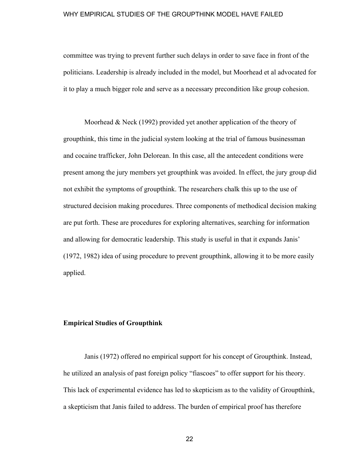committee was trying to prevent further such delays in order to save face in front of the politicians. Leadership is already included in the model, but Moorhead et al advocated for it to play a much bigger role and serve as a necessary precondition like group cohesion.

Moorhead & Neck (1992) provided yet another application of the theory of groupthink, this time in the judicial system looking at the trial of famous businessman and cocaine trafficker, John Delorean. In this case, all the antecedent conditions were present among the jury members yet groupthink was avoided. In effect, the jury group did not exhibit the symptoms of groupthink. The researchers chalk this up to the use of structured decision making procedures. Three components of methodical decision making are put forth. These are procedures for exploring alternatives, searching for information and allowing for democratic leadership. This study is useful in that it expands Janis' (1972, 1982) idea of using procedure to prevent groupthink, allowing it to be more easily applied.

# **Empirical Studies of Groupthink**

Janis (1972) offered no empirical support for his concept of Groupthink. Instead, he utilized an analysis of past foreign policy "fiascoes" to offer support for his theory. This lack of experimental evidence has led to skepticism as to the validity of Groupthink, a skepticism that Janis failed to address. The burden of empirical proof has therefore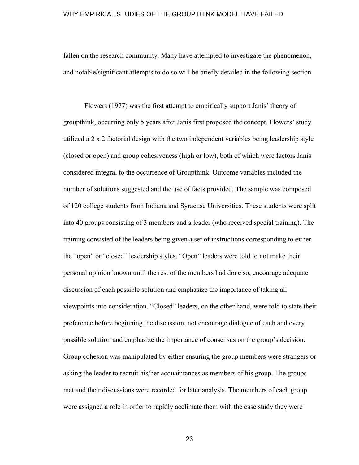fallen on the research community. Many have attempted to investigate the phenomenon, and notable/significant attempts to do so will be briefly detailed in the following section

Flowers (1977) was the first attempt to empirically support Janis' theory of groupthink, occurring only 5 years after Janis first proposed the concept. Flowers' study utilized a 2 x 2 factorial design with the two independent variables being leadership style (closed or open) and group cohesiveness (high or low), both of which were factors Janis considered integral to the occurrence of Groupthink. Outcome variables included the number of solutions suggested and the use of facts provided. The sample was composed of 120 college students from Indiana and Syracuse Universities. These students were split into 40 groups consisting of 3 members and a leader (who received special training). The training consisted of the leaders being given a set of instructions corresponding to either the "open" or "closed" leadership styles. "Open" leaders were told to not make their personal opinion known until the rest of the members had done so, encourage adequate discussion of each possible solution and emphasize the importance of taking all viewpoints into consideration. "Closed" leaders, on the other hand, were told to state their preference before beginning the discussion, not encourage dialogue of each and every possible solution and emphasize the importance of consensus on the group's decision. Group cohesion was manipulated by either ensuring the group members were strangers or asking the leader to recruit his/her acquaintances as members of his group. The groups met and their discussions were recorded for later analysis. The members of each group were assigned a role in order to rapidly acclimate them with the case study they were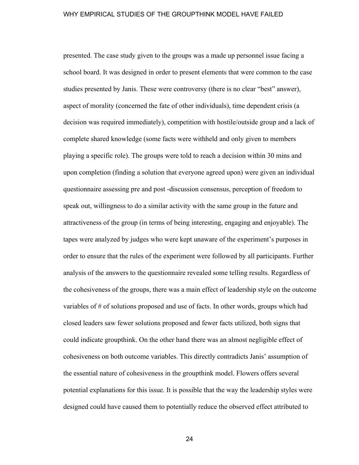presented. The case study given to the groups was a made up personnel issue facing a school board. It was designed in order to present elements that were common to the case studies presented by Janis. These were controversy (there is no clear "best" answer), aspect of morality (concerned the fate of other individuals), time dependent crisis (a decision was required immediately), competition with hostile/outside group and a lack of complete shared knowledge (some facts were withheld and only given to members playing a specific role). The groups were told to reach a decision within 30 mins and upon completion (finding a solution that everyone agreed upon) were given an individual questionnaire assessing pre and post -discussion consensus, perception of freedom to speak out, willingness to do a similar activity with the same group in the future and attractiveness of the group (in terms of being interesting, engaging and enjoyable). The tapes were analyzed by judges who were kept unaware of the experiment's purposes in order to ensure that the rules of the experiment were followed by all participants. Further analysis of the answers to the questionnaire revealed some telling results. Regardless of the cohesiveness of the groups, there was a main effect of leadership style on the outcome variables of # of solutions proposed and use of facts. In other words, groups which had closed leaders saw fewer solutions proposed and fewer facts utilized, both signs that could indicate groupthink. On the other hand there was an almost negligible effect of cohesiveness on both outcome variables. This directly contradicts Janis' assumption of the essential nature of cohesiveness in the groupthink model. Flowers offers several potential explanations for this issue. It is possible that the way the leadership styles were designed could have caused them to potentially reduce the observed effect attributed to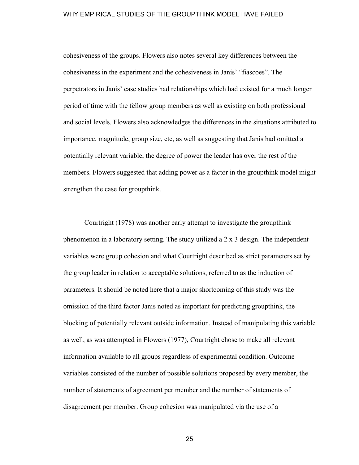cohesiveness of the groups. Flowers also notes several key differences between the cohesiveness in the experiment and the cohesiveness in Janis' "fiascoes". The perpetrators in Janis' case studies had relationships which had existed for a much longer period of time with the fellow group members as well as existing on both professional and social levels. Flowers also acknowledges the differences in the situations attributed to importance, magnitude, group size, etc, as well as suggesting that Janis had omitted a potentially relevant variable, the degree of power the leader has over the rest of the members. Flowers suggested that adding power as a factor in the groupthink model might strengthen the case for groupthink.

Courtright (1978) was another early attempt to investigate the groupthink phenomenon in a laboratory setting. The study utilized a 2 x 3 design. The independent variables were group cohesion and what Courtright described as strict parameters set by the group leader in relation to acceptable solutions, referred to as the induction of parameters. It should be noted here that a major shortcoming of this study was the omission of the third factor Janis noted as important for predicting groupthink, the blocking of potentially relevant outside information. Instead of manipulating this variable as well, as was attempted in Flowers (1977), Courtright chose to make all relevant information available to all groups regardless of experimental condition. Outcome variables consisted of the number of possible solutions proposed by every member, the number of statements of agreement per member and the number of statements of disagreement per member. Group cohesion was manipulated via the use of a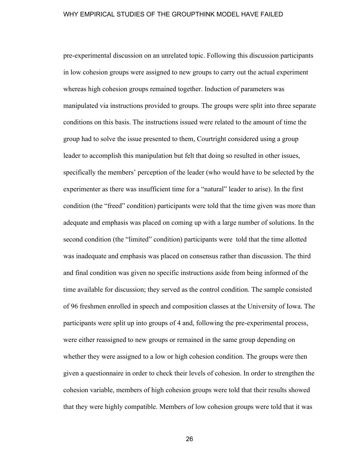pre-experimental discussion on an unrelated topic. Following this discussion participants in low cohesion groups were assigned to new groups to carry out the actual experiment whereas high cohesion groups remained together. Induction of parameters was manipulated via instructions provided to groups. The groups were split into three separate conditions on this basis. The instructions issued were related to the amount of time the group had to solve the issue presented to them, Courtright considered using a group leader to accomplish this manipulation but felt that doing so resulted in other issues, specifically the members' perception of the leader (who would have to be selected by the experimenter as there was insufficient time for a "natural" leader to arise). In the first condition (the "freed" condition) participants were told that the time given was more than adequate and emphasis was placed on coming up with a large number of solutions. In the second condition (the "limited" condition) participants were told that the time allotted was inadequate and emphasis was placed on consensus rather than discussion. The third and final condition was given no specific instructions aside from being informed of the time available for discussion; they served as the control condition. The sample consisted of 96 freshmen enrolled in speech and composition classes at the University of Iowa. The participants were split up into groups of 4 and, following the pre-experimental process, were either reassigned to new groups or remained in the same group depending on whether they were assigned to a low or high cohesion condition. The groups were then given a questionnaire in order to check their levels of cohesion. In order to strengthen the cohesion variable, members of high cohesion groups were told that their results showed that they were highly compatible. Members of low cohesion groups were told that it was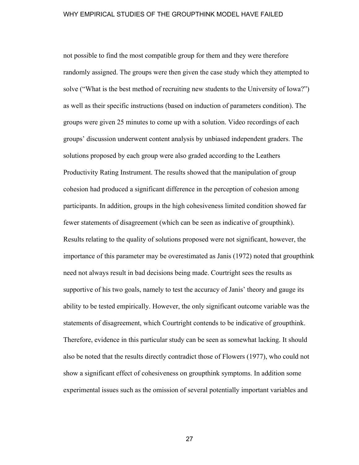not possible to find the most compatible group for them and they were therefore randomly assigned. The groups were then given the case study which they attempted to solve ("What is the best method of recruiting new students to the University of Iowa?") as well as their specific instructions (based on induction of parameters condition). The groups were given 25 minutes to come up with a solution. Video recordings of each groups' discussion underwent content analysis by unbiased independent graders. The solutions proposed by each group were also graded according to the Leathers Productivity Rating Instrument. The results showed that the manipulation of group cohesion had produced a significant difference in the perception of cohesion among participants. In addition, groups in the high cohesiveness limited condition showed far fewer statements of disagreement (which can be seen as indicative of groupthink). Results relating to the quality of solutions proposed were not significant, however, the importance of this parameter may be overestimated as Janis (1972) noted that groupthink need not always result in bad decisions being made. Courtright sees the results as supportive of his two goals, namely to test the accuracy of Janis' theory and gauge its ability to be tested empirically. However, the only significant outcome variable was the statements of disagreement, which Courtright contends to be indicative of groupthink. Therefore, evidence in this particular study can be seen as somewhat lacking. It should also be noted that the results directly contradict those of Flowers (1977), who could not show a significant effect of cohesiveness on groupthink symptoms. In addition some experimental issues such as the omission of several potentially important variables and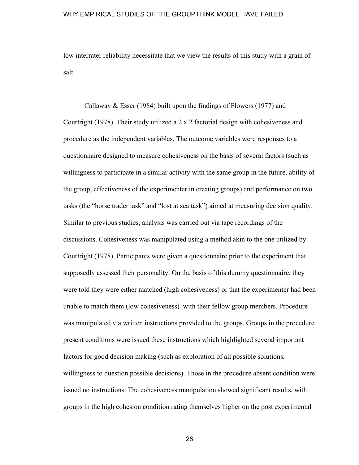low interrater reliability necessitate that we view the results of this study with a grain of salt.

Callaway & Esser (1984) built upon the findings of Flowers (1977) and Courtright (1978). Their study utilized a 2 x 2 factorial design with cohesiveness and procedure as the independent variables. The outcome variables were responses to a questionnaire designed to measure cohesiveness on the basis of several factors (such as willingness to participate in a similar activity with the same group in the future, ability of the group, effectiveness of the experimenter in creating groups) and performance on two tasks (the "horse trader task" and "lost at sea task") aimed at measuring decision quality. Similar to previous studies, analysis was carried out via tape recordings of the discussions. Cohesiveness was manipulated using a method akin to the one utilized by Courtright (1978). Participants were given a questionnaire prior to the experiment that supposedly assessed their personality. On the basis of this dummy questionnaire, they were told they were either matched (high cohesiveness) or that the experimenter had been unable to match them (low cohesiveness) with their fellow group members. Procedure was manipulated via written instructions provided to the groups. Groups in the procedure present conditions were issued these instructions which highlighted several important factors for good decision making (such as exploration of all possible solutions, willingness to question possible decisions). Those in the procedure absent condition were issued no instructions. The cohesiveness manipulation showed significant results, with groups in the high cohesion condition rating themselves higher on the post experimental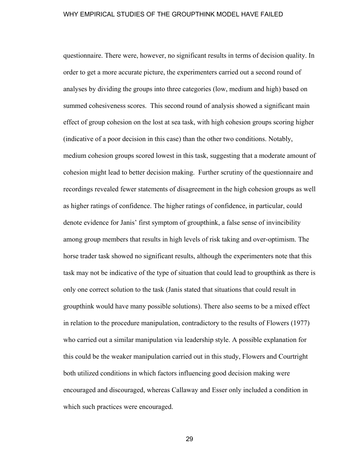questionnaire. There were, however, no significant results in terms of decision quality. In order to get a more accurate picture, the experimenters carried out a second round of analyses by dividing the groups into three categories (low, medium and high) based on summed cohesiveness scores. This second round of analysis showed a significant main effect of group cohesion on the lost at sea task, with high cohesion groups scoring higher (indicative of a poor decision in this case) than the other two conditions. Notably, medium cohesion groups scored lowest in this task, suggesting that a moderate amount of cohesion might lead to better decision making. Further scrutiny of the questionnaire and recordings revealed fewer statements of disagreement in the high cohesion groups as well as higher ratings of confidence. The higher ratings of confidence, in particular, could denote evidence for Janis' first symptom of groupthink, a false sense of invincibility among group members that results in high levels of risk taking and over-optimism. The horse trader task showed no significant results, although the experimenters note that this task may not be indicative of the type of situation that could lead to groupthink as there is only one correct solution to the task (Janis stated that situations that could result in groupthink would have many possible solutions). There also seems to be a mixed effect in relation to the procedure manipulation, contradictory to the results of Flowers (1977) who carried out a similar manipulation via leadership style. A possible explanation for this could be the weaker manipulation carried out in this study, Flowers and Courtright both utilized conditions in which factors influencing good decision making were encouraged and discouraged, whereas Callaway and Esser only included a condition in which such practices were encouraged.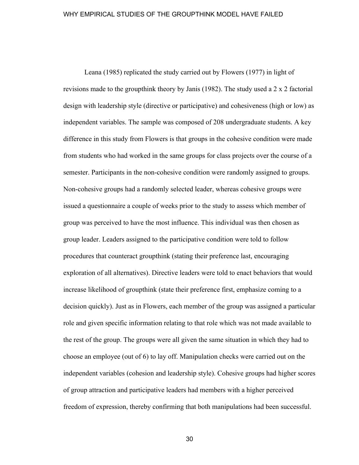Leana (1985) replicated the study carried out by Flowers (1977) in light of revisions made to the groupthink theory by Janis (1982). The study used a 2 x 2 factorial design with leadership style (directive or participative) and cohesiveness (high or low) as independent variables. The sample was composed of 208 undergraduate students. A key difference in this study from Flowers is that groups in the cohesive condition were made from students who had worked in the same groups for class projects over the course of a semester. Participants in the non-cohesive condition were randomly assigned to groups. Non-cohesive groups had a randomly selected leader, whereas cohesive groups were issued a questionnaire a couple of weeks prior to the study to assess which member of group was perceived to have the most influence. This individual was then chosen as group leader. Leaders assigned to the participative condition were told to follow procedures that counteract groupthink (stating their preference last, encouraging exploration of all alternatives). Directive leaders were told to enact behaviors that would increase likelihood of groupthink (state their preference first, emphasize coming to a decision quickly). Just as in Flowers, each member of the group was assigned a particular role and given specific information relating to that role which was not made available to the rest of the group. The groups were all given the same situation in which they had to choose an employee (out of 6) to lay off. Manipulation checks were carried out on the independent variables (cohesion and leadership style). Cohesive groups had higher scores of group attraction and participative leaders had members with a higher perceived freedom of expression, thereby confirming that both manipulations had been successful.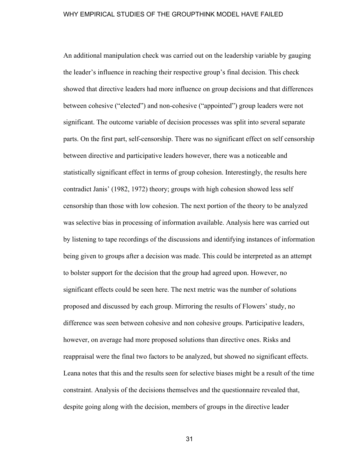An additional manipulation check was carried out on the leadership variable by gauging the leader's influence in reaching their respective group's final decision. This check showed that directive leaders had more influence on group decisions and that differences between cohesive ("elected") and non-cohesive ("appointed") group leaders were not significant. The outcome variable of decision processes was split into several separate parts. On the first part, self-censorship. There was no significant effect on self censorship between directive and participative leaders however, there was a noticeable and statistically significant effect in terms of group cohesion. Interestingly, the results here contradict Janis' (1982, 1972) theory; groups with high cohesion showed less self censorship than those with low cohesion. The next portion of the theory to be analyzed was selective bias in processing of information available. Analysis here was carried out by listening to tape recordings of the discussions and identifying instances of information being given to groups after a decision was made. This could be interpreted as an attempt to bolster support for the decision that the group had agreed upon. However, no significant effects could be seen here. The next metric was the number of solutions proposed and discussed by each group. Mirroring the results of Flowers' study, no difference was seen between cohesive and non cohesive groups. Participative leaders, however, on average had more proposed solutions than directive ones. Risks and reappraisal were the final two factors to be analyzed, but showed no significant effects. Leana notes that this and the results seen for selective biases might be a result of the time constraint. Analysis of the decisions themselves and the questionnaire revealed that, despite going along with the decision, members of groups in the directive leader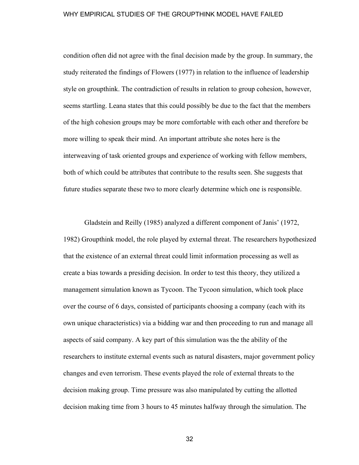condition often did not agree with the final decision made by the group. In summary, the study reiterated the findings of Flowers (1977) in relation to the influence of leadership style on groupthink. The contradiction of results in relation to group cohesion, however, seems startling. Leana states that this could possibly be due to the fact that the members of the high cohesion groups may be more comfortable with each other and therefore be more willing to speak their mind. An important attribute she notes here is the interweaving of task oriented groups and experience of working with fellow members, both of which could be attributes that contribute to the results seen. She suggests that future studies separate these two to more clearly determine which one is responsible.

Gladstein and Reilly (1985) analyzed a different component of Janis' (1972, 1982) Groupthink model, the role played by external threat. The researchers hypothesized that the existence of an external threat could limit information processing as well as create a bias towards a presiding decision. In order to test this theory, they utilized a management simulation known as Tycoon. The Tycoon simulation, which took place over the course of 6 days, consisted of participants choosing a company (each with its own unique characteristics) via a bidding war and then proceeding to run and manage all aspects of said company. A key part of this simulation was the the ability of the researchers to institute external events such as natural disasters, major government policy changes and even terrorism. These events played the role of external threats to the decision making group. Time pressure was also manipulated by cutting the allotted decision making time from 3 hours to 45 minutes halfway through the simulation. The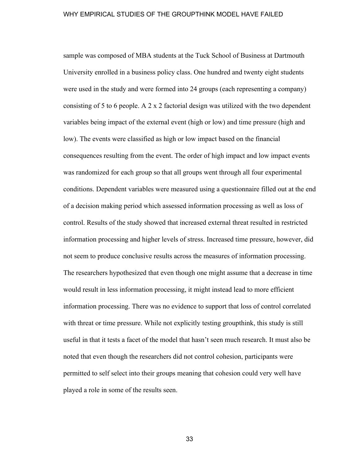sample was composed of MBA students at the Tuck School of Business at Dartmouth University enrolled in a business policy class. One hundred and twenty eight students were used in the study and were formed into 24 groups (each representing a company) consisting of 5 to 6 people. A 2 x 2 factorial design was utilized with the two dependent variables being impact of the external event (high or low) and time pressure (high and low). The events were classified as high or low impact based on the financial consequences resulting from the event. The order of high impact and low impact events was randomized for each group so that all groups went through all four experimental conditions. Dependent variables were measured using a questionnaire filled out at the end of a decision making period which assessed information processing as well as loss of control. Results of the study showed that increased external threat resulted in restricted information processing and higher levels of stress. Increased time pressure, however, did not seem to produce conclusive results across the measures of information processing. The researchers hypothesized that even though one might assume that a decrease in time would result in less information processing, it might instead lead to more efficient information processing. There was no evidence to support that loss of control correlated with threat or time pressure. While not explicitly testing groupthink, this study is still useful in that it tests a facet of the model that hasn't seen much research. It must also be noted that even though the researchers did not control cohesion, participants were permitted to self select into their groups meaning that cohesion could very well have played a role in some of the results seen.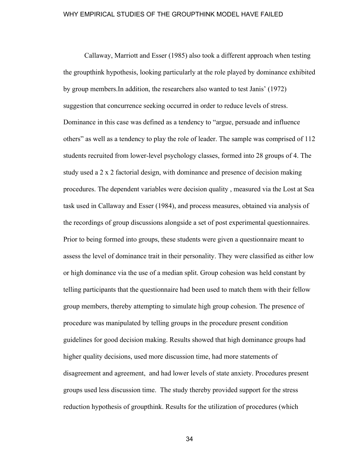Callaway, Marriott and Esser (1985) also took a different approach when testing the groupthink hypothesis, looking particularly at the role played by dominance exhibited by group members.In addition, the researchers also wanted to test Janis' (1972) suggestion that concurrence seeking occurred in order to reduce levels of stress. Dominance in this case was defined as a tendency to "argue, persuade and influence others" as well as a tendency to play the role of leader. The sample was comprised of 112 students recruited from lower-level psychology classes, formed into 28 groups of 4. The study used a 2 x 2 factorial design, with dominance and presence of decision making procedures. The dependent variables were decision quality , measured via the Lost at Sea task used in Callaway and Esser (1984), and process measures, obtained via analysis of the recordings of group discussions alongside a set of post experimental questionnaires. Prior to being formed into groups, these students were given a questionnaire meant to assess the level of dominance trait in their personality. They were classified as either low or high dominance via the use of a median split. Group cohesion was held constant by telling participants that the questionnaire had been used to match them with their fellow group members, thereby attempting to simulate high group cohesion. The presence of procedure was manipulated by telling groups in the procedure present condition guidelines for good decision making. Results showed that high dominance groups had higher quality decisions, used more discussion time, had more statements of disagreement and agreement, and had lower levels of state anxiety. Procedures present groups used less discussion time. The study thereby provided support for the stress reduction hypothesis of groupthink. Results for the utilization of procedures (which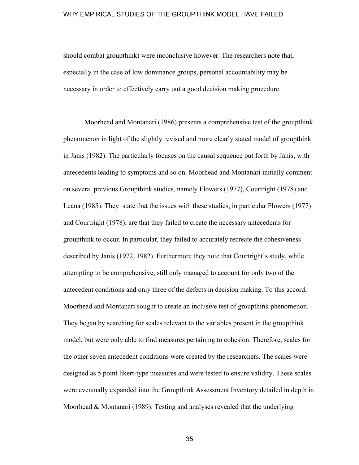should combat groupthink) were inconclusive however. The researchers note that, especially in the case of low dominance groups, personal accountability may be necessary in order to effectively carry out a good decision making procedure.

Moorhead and Montanari (1986) presents a comprehensive test of the groupthink phenomenon in light of the slightly revised and more clearly stated model of groupthink in Janis (1982). The particularly focuses on the causal sequence put forth by Janis, with antecedents leading to symptoms and so on. Moorhead and Montanari initially comment on several previous Groupthink studies, namely Flowers (1977), Courtright (1978) and Leana (1985). They state that the issues with these studies, in particular Flowers (1977) and Courtright (1978), are that they failed to create the necessary antecedents for groupthink to occur. In particular, they failed to accurately recreate the cohesiveness described by Janis (1972, 1982). Furthermore they note that Courtright's study, while attempting to be comprehensive, still only managed to account for only two of the antecedent conditions and only three of the defects in decision making. To this accord, Moorhead and Montanari sought to create an inclusive test of groupthink phenomenon. They began by searching for scales relevant to the variables present in the groupthink model, but were only able to find measures pertaining to cohesion. Therefore, scales for the other seven antecedent conditions were created by the researchers. The scales were designed as 5 point likert-type measures and were tested to ensure validity. These scales were eventually expanded into the Groupthink Assessment Inventory detailed in depth in Moorhead & Montanari (1989). Testing and analyses revealed that the underlying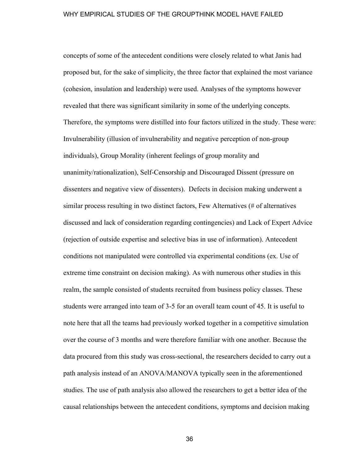concepts of some of the antecedent conditions were closely related to what Janis had proposed but, for the sake of simplicity, the three factor that explained the most variance (cohesion, insulation and leadership) were used. Analyses of the symptoms however revealed that there was significant similarity in some of the underlying concepts. Therefore, the symptoms were distilled into four factors utilized in the study. These were: Invulnerability (illusion of invulnerability and negative perception of non-group individuals), Group Morality (inherent feelings of group morality and unanimity/rationalization), Self-Censorship and Discouraged Dissent (pressure on dissenters and negative view of dissenters). Defects in decision making underwent a similar process resulting in two distinct factors, Few Alternatives (# of alternatives discussed and lack of consideration regarding contingencies) and Lack of Expert Advice (rejection of outside expertise and selective bias in use of information). Antecedent conditions not manipulated were controlled via experimental conditions (ex. Use of extreme time constraint on decision making). As with numerous other studies in this realm, the sample consisted of students recruited from business policy classes. These students were arranged into team of 3-5 for an overall team count of 45. It is useful to note here that all the teams had previously worked together in a competitive simulation over the course of 3 months and were therefore familiar with one another. Because the data procured from this study was cross-sectional, the researchers decided to carry out a path analysis instead of an ANOVA/MANOVA typically seen in the aforementioned studies. The use of path analysis also allowed the researchers to get a better idea of the causal relationships between the antecedent conditions, symptoms and decision making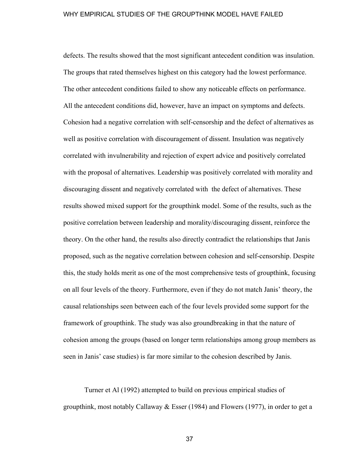defects. The results showed that the most significant antecedent condition was insulation. The groups that rated themselves highest on this category had the lowest performance. The other antecedent conditions failed to show any noticeable effects on performance. All the antecedent conditions did, however, have an impact on symptoms and defects. Cohesion had a negative correlation with self-censorship and the defect of alternatives as well as positive correlation with discouragement of dissent. Insulation was negatively correlated with invulnerability and rejection of expert advice and positively correlated with the proposal of alternatives. Leadership was positively correlated with morality and discouraging dissent and negatively correlated with the defect of alternatives. These results showed mixed support for the groupthink model. Some of the results, such as the positive correlation between leadership and morality/discouraging dissent, reinforce the theory. On the other hand, the results also directly contradict the relationships that Janis proposed, such as the negative correlation between cohesion and self-censorship. Despite this, the study holds merit as one of the most comprehensive tests of groupthink, focusing on all four levels of the theory. Furthermore, even if they do not match Janis' theory, the causal relationships seen between each of the four levels provided some support for the framework of groupthink. The study was also groundbreaking in that the nature of cohesion among the groups (based on longer term relationships among group members as seen in Janis' case studies) is far more similar to the cohesion described by Janis.

Turner et Al (1992) attempted to build on previous empirical studies of groupthink, most notably Callaway  $& E$ sser (1984) and Flowers (1977), in order to get a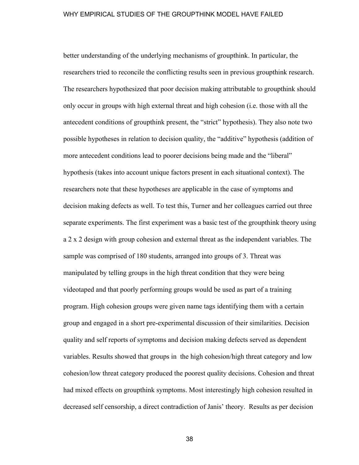better understanding of the underlying mechanisms of groupthink. In particular, the researchers tried to reconcile the conflicting results seen in previous groupthink research. The researchers hypothesized that poor decision making attributable to groupthink should only occur in groups with high external threat and high cohesion (i.e. those with all the antecedent conditions of groupthink present, the "strict" hypothesis). They also note two possible hypotheses in relation to decision quality, the "additive" hypothesis (addition of more antecedent conditions lead to poorer decisions being made and the "liberal" hypothesis (takes into account unique factors present in each situational context). The researchers note that these hypotheses are applicable in the case of symptoms and decision making defects as well. To test this, Turner and her colleagues carried out three separate experiments. The first experiment was a basic test of the groupthink theory using a 2 x 2 design with group cohesion and external threat as the independent variables. The sample was comprised of 180 students, arranged into groups of 3. Threat was manipulated by telling groups in the high threat condition that they were being videotaped and that poorly performing groups would be used as part of a training program. High cohesion groups were given name tags identifying them with a certain group and engaged in a short pre-experimental discussion of their similarities. Decision quality and self reports of symptoms and decision making defects served as dependent variables. Results showed that groups in the high cohesion/high threat category and low cohesion/low threat category produced the poorest quality decisions. Cohesion and threat had mixed effects on groupthink symptoms. Most interestingly high cohesion resulted in decreased self censorship, a direct contradiction of Janis' theory. Results as per decision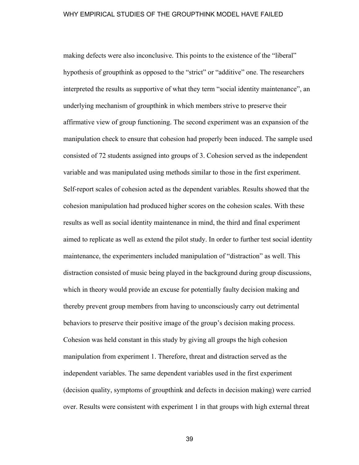making defects were also inconclusive. This points to the existence of the "liberal" hypothesis of groupthink as opposed to the "strict" or "additive" one. The researchers interpreted the results as supportive of what they term "social identity maintenance", an underlying mechanism of groupthink in which members strive to preserve their affirmative view of group functioning. The second experiment was an expansion of the manipulation check to ensure that cohesion had properly been induced. The sample used consisted of 72 students assigned into groups of 3. Cohesion served as the independent variable and was manipulated using methods similar to those in the first experiment. Self-report scales of cohesion acted as the dependent variables. Results showed that the cohesion manipulation had produced higher scores on the cohesion scales. With these results as well as social identity maintenance in mind, the third and final experiment aimed to replicate as well as extend the pilot study. In order to further test social identity maintenance, the experimenters included manipulation of "distraction" as well. This distraction consisted of music being played in the background during group discussions, which in theory would provide an excuse for potentially faulty decision making and thereby prevent group members from having to unconsciously carry out detrimental behaviors to preserve their positive image of the group's decision making process. Cohesion was held constant in this study by giving all groups the high cohesion manipulation from experiment 1. Therefore, threat and distraction served as the independent variables. The same dependent variables used in the first experiment (decision quality, symptoms of groupthink and defects in decision making) were carried over. Results were consistent with experiment 1 in that groups with high external threat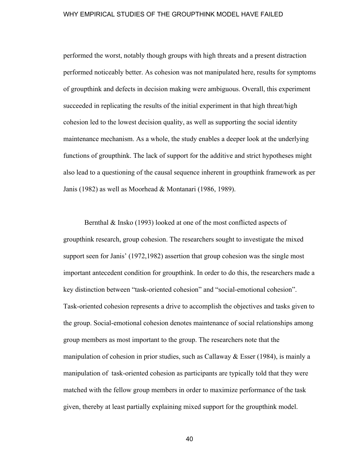performed the worst, notably though groups with high threats and a present distraction performed noticeably better. As cohesion was not manipulated here, results for symptoms of groupthink and defects in decision making were ambiguous. Overall, this experiment succeeded in replicating the results of the initial experiment in that high threat/high cohesion led to the lowest decision quality, as well as supporting the social identity maintenance mechanism. As a whole, the study enables a deeper look at the underlying functions of groupthink. The lack of support for the additive and strict hypotheses might also lead to a questioning of the causal sequence inherent in groupthink framework as per Janis (1982) as well as Moorhead & Montanari (1986, 1989).

Bernthal & Insko (1993) looked at one of the most conflicted aspects of groupthink research, group cohesion. The researchers sought to investigate the mixed support seen for Janis' (1972,1982) assertion that group cohesion was the single most important antecedent condition for groupthink. In order to do this, the researchers made a key distinction between "task-oriented cohesion" and "social-emotional cohesion". Task-oriented cohesion represents a drive to accomplish the objectives and tasks given to the group. Social-emotional cohesion denotes maintenance of social relationships among group members as most important to the group. The researchers note that the manipulation of cohesion in prior studies, such as Callaway & Esser (1984), is mainly a manipulation of task-oriented cohesion as participants are typically told that they were matched with the fellow group members in order to maximize performance of the task given, thereby at least partially explaining mixed support for the groupthink model.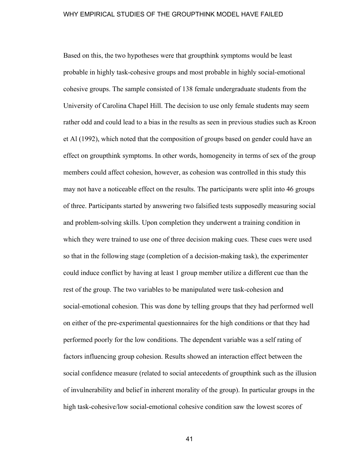Based on this, the two hypotheses were that groupthink symptoms would be least probable in highly task-cohesive groups and most probable in highly social-emotional cohesive groups. The sample consisted of 138 female undergraduate students from the University of Carolina Chapel Hill. The decision to use only female students may seem rather odd and could lead to a bias in the results as seen in previous studies such as Kroon et Al (1992), which noted that the composition of groups based on gender could have an effect on groupthink symptoms. In other words, homogeneity in terms of sex of the group members could affect cohesion, however, as cohesion was controlled in this study this may not have a noticeable effect on the results. The participants were split into 46 groups of three. Participants started by answering two falsified tests supposedly measuring social and problem-solving skills. Upon completion they underwent a training condition in which they were trained to use one of three decision making cues. These cues were used so that in the following stage (completion of a decision-making task), the experimenter could induce conflict by having at least 1 group member utilize a different cue than the rest of the group. The two variables to be manipulated were task-cohesion and social-emotional cohesion. This was done by telling groups that they had performed well on either of the pre-experimental questionnaires for the high conditions or that they had performed poorly for the low conditions. The dependent variable was a self rating of factors influencing group cohesion. Results showed an interaction effect between the social confidence measure (related to social antecedents of groupthink such as the illusion of invulnerability and belief in inherent morality of the group). In particular groups in the high task-cohesive/low social-emotional cohesive condition saw the lowest scores of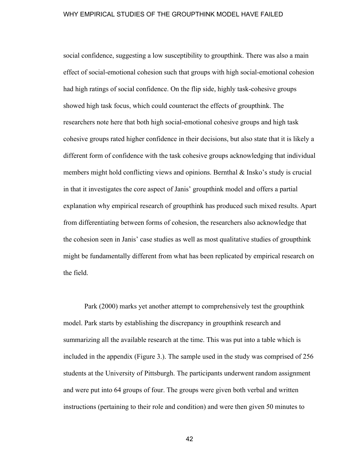social confidence, suggesting a low susceptibility to groupthink. There was also a main effect of social-emotional cohesion such that groups with high social-emotional cohesion had high ratings of social confidence. On the flip side, highly task-cohesive groups showed high task focus, which could counteract the effects of groupthink. The researchers note here that both high social-emotional cohesive groups and high task cohesive groups rated higher confidence in their decisions, but also state that it is likely a different form of confidence with the task cohesive groups acknowledging that individual members might hold conflicting views and opinions. Bernthal & Insko's study is crucial in that it investigates the core aspect of Janis' groupthink model and offers a partial explanation why empirical research of groupthink has produced such mixed results. Apart from differentiating between forms of cohesion, the researchers also acknowledge that the cohesion seen in Janis' case studies as well as most qualitative studies of groupthink might be fundamentally different from what has been replicated by empirical research on the field.

Park (2000) marks yet another attempt to comprehensively test the groupthink model. Park starts by establishing the discrepancy in groupthink research and summarizing all the available research at the time. This was put into a table which is included in the appendix (Figure 3.). The sample used in the study was comprised of 256 students at the University of Pittsburgh. The participants underwent random assignment and were put into 64 groups of four. The groups were given both verbal and written instructions (pertaining to their role and condition) and were then given 50 minutes to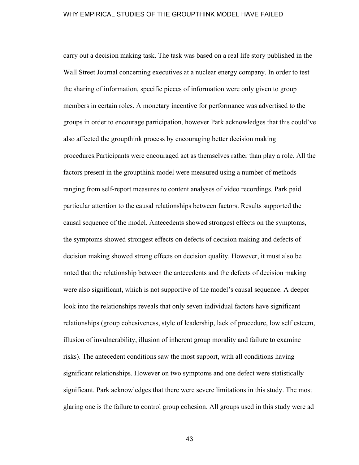carry out a decision making task. The task was based on a real life story published in the Wall Street Journal concerning executives at a nuclear energy company. In order to test the sharing of information, specific pieces of information were only given to group members in certain roles. A monetary incentive for performance was advertised to the groups in order to encourage participation, however Park acknowledges that this could've also affected the groupthink process by encouraging better decision making procedures.Participants were encouraged act as themselves rather than play a role. All the factors present in the groupthink model were measured using a number of methods ranging from self-report measures to content analyses of video recordings. Park paid particular attention to the causal relationships between factors. Results supported the causal sequence of the model. Antecedents showed strongest effects on the symptoms, the symptoms showed strongest effects on defects of decision making and defects of decision making showed strong effects on decision quality. However, it must also be noted that the relationship between the antecedents and the defects of decision making were also significant, which is not supportive of the model's causal sequence. A deeper look into the relationships reveals that only seven individual factors have significant relationships (group cohesiveness, style of leadership, lack of procedure, low self esteem, illusion of invulnerability, illusion of inherent group morality and failure to examine risks). The antecedent conditions saw the most support, with all conditions having significant relationships. However on two symptoms and one defect were statistically significant. Park acknowledges that there were severe limitations in this study. The most glaring one is the failure to control group cohesion. All groups used in this study were ad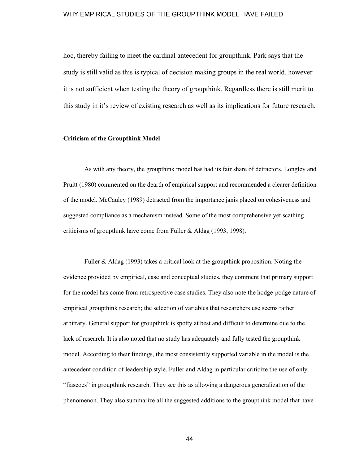hoc, thereby failing to meet the cardinal antecedent for groupthink. Park says that the study is still valid as this is typical of decision making groups in the real world, however it is not sufficient when testing the theory of groupthink. Regardless there is still merit to this study in it's review of existing research as well as its implications for future research.

# **Criticism of the Groupthink Model**

As with any theory, the groupthink model has had its fair share of detractors. Longley and Pruitt (1980) commented on the dearth of empirical support and recommended a clearer definition of the model. McCauley (1989) detracted from the importance janis placed on cohesiveness and suggested compliance as a mechanism instead. Some of the most comprehensive yet scathing criticisms of groupthink have come from Fuller & Aldag (1993, 1998).

Fuller & Aldag (1993) takes a critical look at the groupthink proposition. Noting the evidence provided by empirical, case and conceptual studies, they comment that primary support for the model has come from retrospective case studies. They also note the hodge-podge nature of empirical groupthink research; the selection of variables that researchers use seems rather arbitrary. General support for groupthink is spotty at best and difficult to determine due to the lack of research. It is also noted that no study has adequately and fully tested the groupthink model. According to their findings, the most consistently supported variable in the model is the antecedent condition of leadership style. Fuller and Aldag in particular criticize the use of only "fiascoes" in groupthink research. They see this as allowing a dangerous generalization of the phenomenon. They also summarize all the suggested additions to the groupthink model that have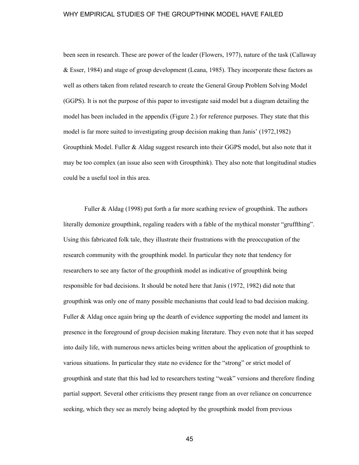been seen in research. These are power of the leader (Flowers, 1977), nature of the task (Callaway & Esser, 1984) and stage of group development (Leana, 1985). They incorporate these factors as well as others taken from related research to create the General Group Problem Solving Model (GGPS). It is not the purpose of this paper to investigate said model but a diagram detailing the model has been included in the appendix (Figure 2.) for reference purposes. They state that this model is far more suited to investigating group decision making than Janis' (1972,1982) Groupthink Model. Fuller & Aldag suggest research into their GGPS model, but also note that it may be too complex (an issue also seen with Groupthink). They also note that longitudinal studies could be a useful tool in this area.

Fuller & Aldag (1998) put forth a far more scathing review of groupthink. The authors literally demonize groupthink, regaling readers with a fable of the mythical monster "gruffthing". Using this fabricated folk tale, they illustrate their frustrations with the preoccupation of the research community with the groupthink model. In particular they note that tendency for researchers to see any factor of the groupthink model as indicative of groupthink being responsible for bad decisions. It should be noted here that Janis (1972, 1982) did note that groupthink was only one of many possible mechanisms that could lead to bad decision making. Fuller & Aldag once again bring up the dearth of evidence supporting the model and lament its presence in the foreground of group decision making literature. They even note that it has seeped into daily life, with numerous news articles being written about the application of groupthink to various situations. In particular they state no evidence for the "strong" or strict model of groupthink and state that this had led to researchers testing "weak" versions and therefore finding partial support. Several other criticisms they present range from an over reliance on concurrence seeking, which they see as merely being adopted by the groupthink model from previous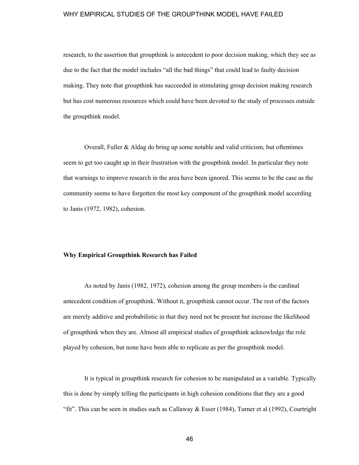research, to the assertion that groupthink is antecedent to poor decision making, which they see as due to the fact that the model includes "all the bad things" that could lead to faulty decision making. They note that groupthink has succeeded in stimulating group decision making research but has cost numerous resources which could have been devoted to the study of processes outside the groupthink model.

Overall, Fuller & Aldag do bring up some notable and valid criticism, but oftentimes seem to get too caught up in their frustration with the groupthink model. In particular they note that warnings to improve research in the area have been ignored. This seems to be the case as the community seems to have forgotten the most key component of the groupthink model according to Janis (1972, 1982), cohesion.

# **Why Empirical Groupthink Research has Failed**

As noted by Janis (1982, 1972), cohesion among the group members is the cardinal antecedent condition of groupthink. Without it, groupthink cannot occur. The rest of the factors are merely additive and probabilistic in that they need not be present but increase the likelihood of groupthink when they are. Almost all empirical studies of groupthink acknowledge the role played by cohesion, but none have been able to replicate as per the groupthink model.

It is typical in groupthink research for cohesion to be manipulated as a variable. Typically this is done by simply telling the participants in high cohesion conditions that they are a good "fit". This can be seen in studies such as Callaway  $\&$  Esser (1984), Turner et al (1992), Courtright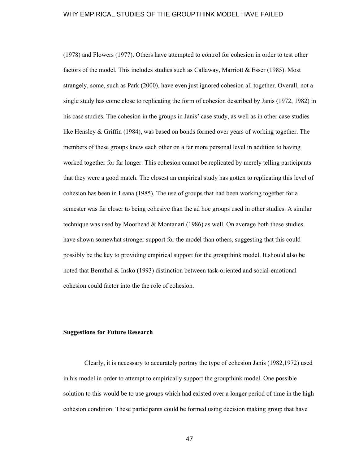(1978) and Flowers (1977). Others have attempted to control for cohesion in order to test other factors of the model. This includes studies such as Callaway, Marriott & Esser (1985). Most strangely, some, such as Park (2000), have even just ignored cohesion all together. Overall, not a single study has come close to replicating the form of cohesion described by Janis (1972, 1982) in his case studies. The cohesion in the groups in Janis' case study, as well as in other case studies like Hensley & Griffin (1984), was based on bonds formed over years of working together. The members of these groups knew each other on a far more personal level in addition to having worked together for far longer. This cohesion cannot be replicated by merely telling participants that they were a good match. The closest an empirical study has gotten to replicating this level of cohesion has been in Leana (1985). The use of groups that had been working together for a semester was far closer to being cohesive than the ad hoc groups used in other studies. A similar technique was used by Moorhead & Montanari (1986) as well. On average both these studies have shown somewhat stronger support for the model than others, suggesting that this could possibly be the key to providing empirical support for the groupthink model. It should also be noted that Bernthal & Insko (1993) distinction between task-oriented and social-emotional cohesion could factor into the the role of cohesion.

#### **Suggestions for Future Research**

Clearly, it is necessary to accurately portray the type of cohesion Janis (1982,1972) used in his model in order to attempt to empirically support the groupthink model. One possible solution to this would be to use groups which had existed over a longer period of time in the high cohesion condition. These participants could be formed using decision making group that have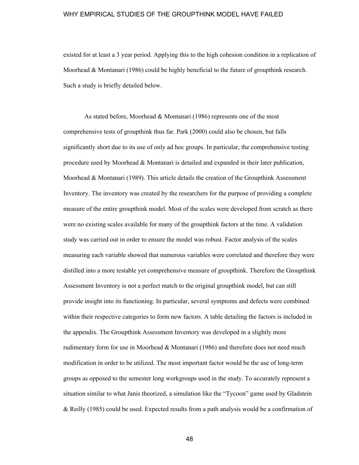existed for at least a 3 year period. Applying this to the high cohesion condition in a replication of Moorhead & Montanari (1986) could be highly beneficial to the future of groupthink research. Such a study is briefly detailed below.

As stated before, Moorhead & Montanari (1986) represents one of the most comprehensive tests of groupthink thus far. Park (2000) could also be chosen, but falls significantly short due to its use of only ad hoc groups. In particular, the comprehensive testing procedure used by Moorhead & Montanari is detailed and expanded in their later publication, Moorhead & Montanari (1989). This article details the creation of the Groupthink Assessment Inventory. The inventory was created by the researchers for the purpose of providing a complete measure of the entire groupthink model. Most of the scales were developed from scratch as there were no existing scales available for many of the groupthink factors at the time. A validation study was carried out in order to ensure the model was robust. Factor analysis of the scales measuring each variable showed that numerous variables were correlated and therefore they were distilled into a more testable yet comprehensive measure of groupthink. Therefore the Groupthink Assessment Inventory is not a perfect match to the original groupthink model, but can still provide insight into its functioning. In particular, several symptoms and defects were combined within their respective categories to form new factors. A table detailing the factors is included in the appendix. The Groupthink Assessment Inventory was developed in a slightly more rudimentary form for use in Moorhead & Montanari (1986) and therefore does not need much modification in order to be utilized. The most important factor would be the use of long-term groups as opposed to the semester long workgroups used in the study. To accurately represent a situation similar to what Janis theorized, a simulation like the "Tycoon" game used by Gladstein & Reilly (1985) could be used. Expected results from a path analysis would be a confirmation of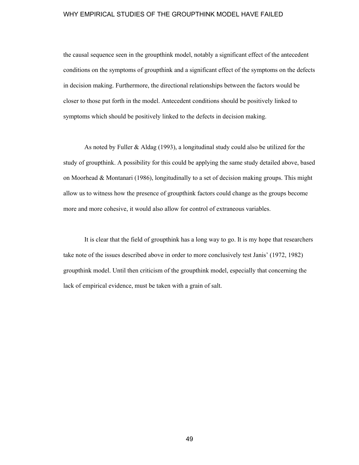the causal sequence seen in the groupthink model, notably a significant effect of the antecedent conditions on the symptoms of groupthink and a significant effect of the symptoms on the defects in decision making. Furthermore, the directional relationships between the factors would be closer to those put forth in the model. Antecedent conditions should be positively linked to symptoms which should be positively linked to the defects in decision making.

As noted by Fuller & Aldag (1993), a longitudinal study could also be utilized for the study of groupthink. A possibility for this could be applying the same study detailed above, based on Moorhead & Montanari (1986), longitudinally to a set of decision making groups. This might allow us to witness how the presence of groupthink factors could change as the groups become more and more cohesive, it would also allow for control of extraneous variables.

It is clear that the field of groupthink has a long way to go. It is my hope that researchers take note of the issues described above in order to more conclusively test Janis' (1972, 1982) groupthink model. Until then criticism of the groupthink model, especially that concerning the lack of empirical evidence, must be taken with a grain of salt.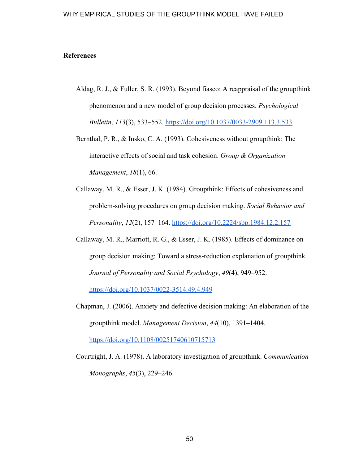# **References**

- Aldag, R. J., & Fuller, S. R. (1993). Beyond fiasco: A reappraisal of the groupthink phenomenon and a new model of group decision processes. *Psychological Bulletin*, *113*(3), 533–552[.](https://doi.org/10.1037/0033-2909.113.3.533) <https://doi.org/10.1037/0033-2909.113.3.533>
- Bernthal, P. R., & Insko, C. A. (1993). Cohesiveness without groupthink: The interactive effects of social and task cohesion. *Group & Organization Management*, *18*(1), 66.
- Callaway, M. R., & Esser, J. K. (1984). Groupthink: Effects of cohesiveness and problem-solving procedures on group decision making. *Social Behavior and Personality*, *12*(2), 157–164[.](https://doi.org/10.2224/sbp.1984.12.2.157) <https://doi.org/10.2224/sbp.1984.12.2.157>
- Callaway, M. R., Marriott, R. G., & Esser, J. K. (1985). Effects of dominance on group decision making: Toward a stress-reduction explanation of groupthink. *Journal of Personality and Social Psychology*, *49*(4), 949–952[.](https://doi.org/10.1037/0022-3514.49.4.949)

<https://doi.org/10.1037/0022-3514.49.4.949>

Chapman, J. (2006). Anxiety and defective decision making: An elaboration of the groupthink model. *Management Decision*, *44*(10), 1391–1404[.](https://doi.org/10.1108/00251740610715713)

<https://doi.org/10.1108/00251740610715713>

Courtright, J. A. (1978). A laboratory investigation of groupthink. *Communication Monographs*, *45*(3), 229–246.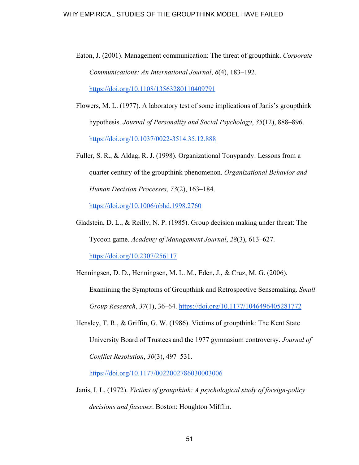- Eaton, J. (2001). Management communication: The threat of groupthink. *Corporate Communications: An International Journal*, *6*(4), 183–192[.](https://doi.org/10.1108/13563280110409791) <https://doi.org/10.1108/13563280110409791>
- Flowers, M. L. (1977). A laboratory test of some implications of Janis's groupthink hypothesis. *Journal of Personality and Social Psychology*, *35*(12), 888–896. <https://doi.org/10.1037/0022-3514.35.12.888>
- Fuller, S. R., & Aldag, R. J. (1998). Organizational Tonypandy: Lessons from a quarter century of the groupthink phenomenon. *Organizational Behavior and Human Decision Processes*, *73*(2), 163–184.

<https://doi.org/10.1006/obhd.1998.2760>

Gladstein, D. L., & Reilly, N. P. (1985). Group decision making under threat: The Tycoon game. *Academy of Management Journal*, *28*(3), 613–627. <https://doi.org/10.2307/256117>

Henningsen, D. D., Henningsen, M. L. M., Eden, J., & Cruz, M. G. (2006). Examining the Symptoms of Groupthink and Retrospective Sensemaking. *Small Group Research*, *37*(1), 36–64[.](https://doi.org/10.1177/1046496405281772) <https://doi.org/10.1177/1046496405281772>

Hensley, T. R., & Griffin, G. W. (1986). Victims of groupthink: The Kent State University Board of Trustees and the 1977 gymnasium controversy. *Journal of Conflict Resolution*, *30*(3), 497–531[.](https://doi.org/10.1177/0022002786030003006)

<https://doi.org/10.1177/0022002786030003006>

Janis, I. L. (1972). *Victims of groupthink: A psychological study of foreign-policy decisions and fiascoes*. Boston: Houghton Mifflin.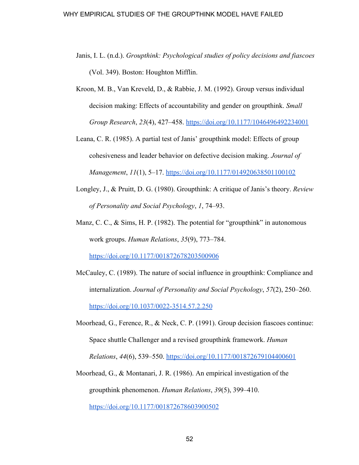- Janis, I. L. (n.d.). *Groupthink: Psychological studies of policy decisions and fiascoes* (Vol. 349). Boston: Houghton Mifflin.
- Kroon, M. B., Van Kreveld, D., & Rabbie, J. M. (1992). Group versus individual decision making: Effects of accountability and gender on groupthink. *Small Group Research*, *23*(4), 427–458[.](https://doi.org/10.1177/1046496492234001) <https://doi.org/10.1177/1046496492234001>
- Leana, C. R. (1985). A partial test of Janis' groupthink model: Effects of group cohesiveness and leader behavior on defective decision making. *Journal of Management*, *11*(1), 5–17. <https://doi.org/10.1177/014920638501100102>
- Longley, J., & Pruitt, D. G. (1980). Groupthink: A critique of Janis's theory. *Review of Personality and Social Psychology*, *1*, 74–93.
- Manz, C. C., & Sims, H. P. (1982). The potential for "groupthink" in autonomous work groups. *Human Relations*, *35*(9), 773–784.

<https://doi.org/10.1177/001872678203500906>

- McCauley, C. (1989). The nature of social influence in groupthink: Compliance and internalization. *Journal of Personality and Social Psychology*, *57*(2), 250–260. <https://doi.org/10.1037/0022-3514.57.2.250>
- Moorhead, G., Ference, R., & Neck, C. P. (1991). Group decision fiascoes continue: Space shuttle Challenger and a revised groupthink framework. *Human Relations*, *44*(6), 539–550[.](https://doi.org/10.1177/001872679104400601) <https://doi.org/10.1177/001872679104400601>
- Moorhead, G., & Montanari, J. R. (1986). An empirical investigation of the groupthink phenomenon. *Human Relations*, *39*(5), 399–410[.](https://doi.org/10.1177/001872678603900502) <https://doi.org/10.1177/001872678603900502>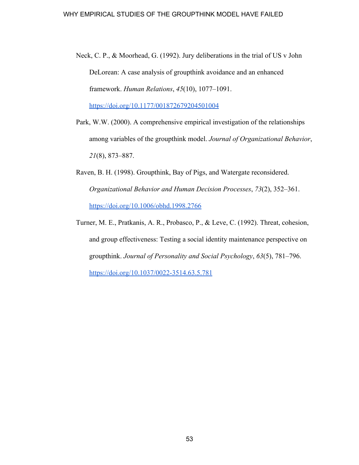Neck, C. P., & Moorhead, G. (1992). Jury deliberations in the trial of US v John DeLorean: A case analysis of groupthink avoidance and an enhanced framework. *Human Relations*, *45*(10), 1077–1091[.](https://doi.org/10.1177/001872679204501004)

<https://doi.org/10.1177/001872679204501004>

- Park, W.W. (2000). A comprehensive empirical investigation of the relationships among variables of the groupthink model. *Journal of Organizational Behavior*, *21*(8), 873–887.
- Raven, B. H. (1998). Groupthink, Bay of Pigs, and Watergate reconsidered. *Organizational Behavior and Human Decision Processes*, *73*(2), 352–361. <https://doi.org/10.1006/obhd.1998.2766>
- Turner, M. E., Pratkanis, A. R., Probasco, P., & Leve, C. (1992). Threat, cohesion, and group effectiveness: Testing a social identity maintenance perspective on groupthink. *Journal of Personality and Social Psychology*, *63*(5), 781–796[.](https://doi.org/10.1037/0022-3514.63.5.781) <https://doi.org/10.1037/0022-3514.63.5.781>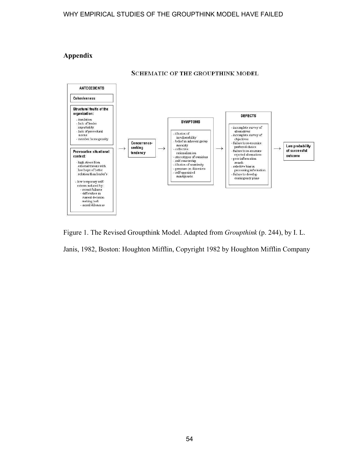# **Appendix**



**SCHEMATIC OF THE GROUPTHINK MODEL** 

Figure 1. The Revised Groupthink Model. Adapted from *Groupthink* (p. 244), by I. L. Janis, 1982, Boston: Houghton Mifflin, Copyright 1982 by Houghton Mifflin Company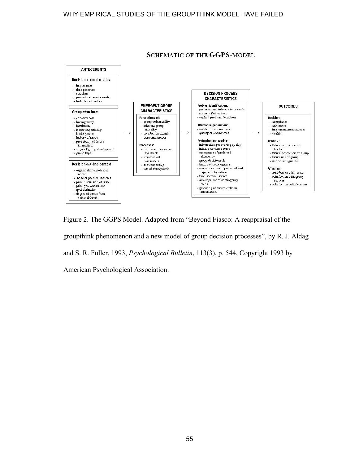

**SCHEMATIC OF THE GGPS-MODEL** 

Figure 2. The GGPS Model. Adapted from "Beyond Fiasco: A reappraisal of the groupthink phenomenon and a new model of group decision processes", by R. J. Aldag and S. R. Fuller, 1993, *Psychological Bulletin*, 113(3), p. 544, Copyright 1993 by American Psychological Association.